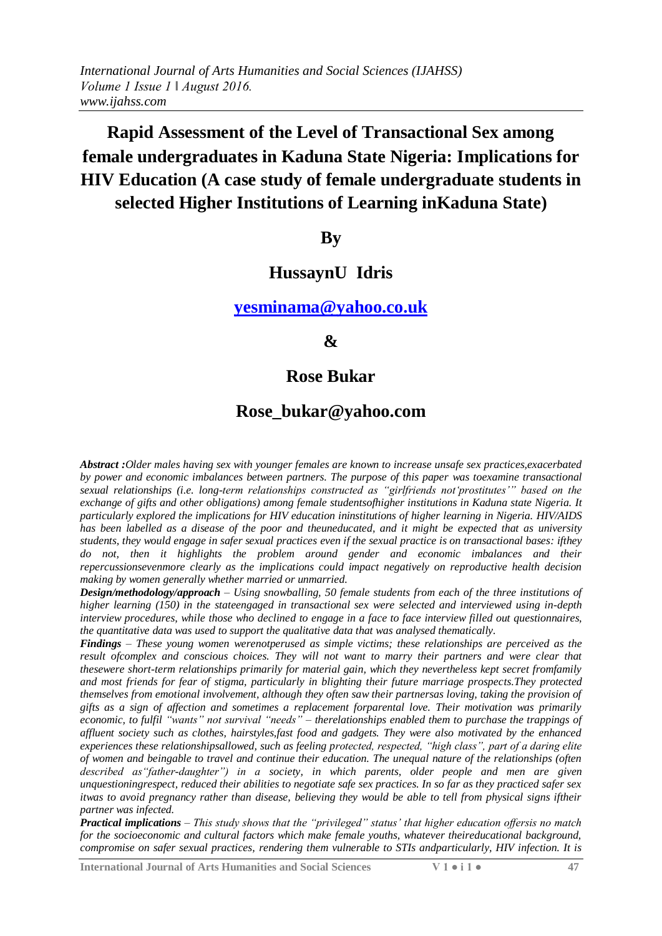# **Rapid Assessment of the Level of Transactional Sex among female undergraduates in Kaduna State Nigeria: Implications for HIV Education (A case study of female undergraduate students in selected Higher Institutions of Learning inKaduna State)**

**By**

## **HussaynU Idris**

### **[yesminama@yahoo.co.uk](mailto:yesminama@yahoo.co.uk)**

### **&**

## **Rose Bukar**

## **Rose\_bukar@yahoo.com**

*Abstract :Older males having sex with younger females are known to increase unsafe sex practices,exacerbated by power and economic imbalances between partners. The purpose of this paper was toexamine transactional sexual relationships (i.e. long-term relationships constructed as "girlfriends not"prostitutes"" based on the exchange of gifts and other obligations) among female studentsofhigher institutions in Kaduna state Nigeria. It particularly explored the implications for HIV education ininstitutions of higher learning in Nigeria. HIV/AIDS has been labelled as a disease of the poor and theuneducated, and it might be expected that as university students, they would engage in safer sexual practices even if the sexual practice is on transactional bases: ifthey do not, then it highlights the problem around gender and economic imbalances and their repercussionsevenmore clearly as the implications could impact negatively on reproductive health decision making by women generally whether married or unmarried.*

*Design/methodology/approach – Using snowballing, 50 female students from each of the three institutions of higher learning (150) in the stateengaged in transactional sex were selected and interviewed using in-depth interview procedures, while those who declined to engage in a face to face interview filled out questionnaires, the quantitative data was used to support the qualitative data that was analysed thematically.*

*Findings – These young women werenotperused as simple victims; these relationships are perceived as the result ofcomplex and conscious choices. They will not want to marry their partners and were clear that thesewere short-term relationships primarily for material gain, which they nevertheless kept secret fromfamily and most friends for fear of stigma, particularly in blighting their future marriage prospects.They protected themselves from emotional involvement, although they often saw their partnersas loving, taking the provision of gifts as a sign of affection and sometimes a replacement forparental love. Their motivation was primarily economic, to fulfil "wants" not survival "needs" – therelationships enabled them to purchase the trappings of affluent society such as clothes, hairstyles,fast food and gadgets. They were also motivated by the enhanced experiences these relationshipsallowed, such as feeling protected, respected, "high class", part of a daring elite of women and beingable to travel and continue their education. The unequal nature of the relationships (often described as"father-daughter") in a society, in which parents, older people and men are given unquestioningrespect, reduced their abilities to negotiate safe sex practices. In so far as they practiced safer sex itwas to avoid pregnancy rather than disease, believing they would be able to tell from physical signs iftheir partner was infected.*

*Practical implications – This study shows that the "privileged" status" that higher education offersis no match for the socioeconomic and cultural factors which make female youths, whatever theireducational background, compromise on safer sexual practices, rendering them vulnerable to STIs andparticularly, HIV infection. It is* 

**International Journal of Arts Humanities and Social Sciences V 1 ● i 1 ● 47**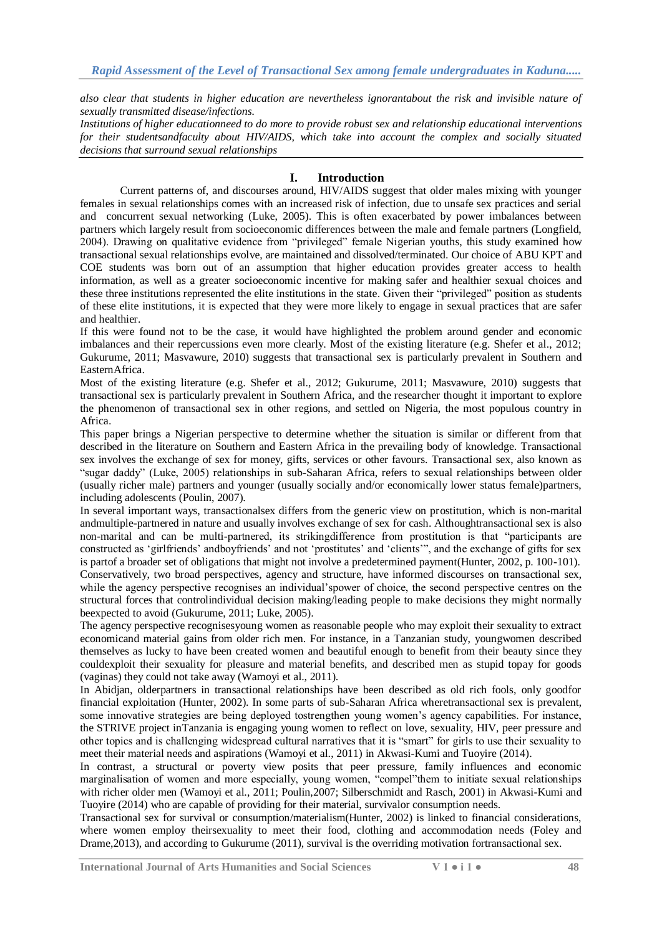*also clear that students in higher education are nevertheless ignorantabout the risk and invisible nature of sexually transmitted disease/infections.*

*Institutions of higher educationneed to do more to provide robust sex and relationship educational interventions for their studentsandfaculty about HIV/AIDS, which take into account the complex and socially situated decisions that surround sexual relationships* 

#### **I. Introduction**

Current patterns of, and discourses around, HIV/AIDS suggest that older males mixing with younger females in sexual relationships comes with an increased risk of infection, due to unsafe sex practices and serial and concurrent sexual networking (Luke, 2005). This is often exacerbated by power imbalances between partners which largely result from socioeconomic differences between the male and female partners (Longfield, 2004). Drawing on qualitative evidence from "privileged" female Nigerian youths, this study examined how transactional sexual relationships evolve, are maintained and dissolved/terminated. Our choice of ABU KPT and COE students was born out of an assumption that higher education provides greater access to health information, as well as a greater socioeconomic incentive for making safer and healthier sexual choices and these three institutions represented the elite institutions in the state. Given their "privileged" position as students of these elite institutions, it is expected that they were more likely to engage in sexual practices that are safer and healthier.

If this were found not to be the case, it would have highlighted the problem around gender and economic imbalances and their repercussions even more clearly. Most of the existing literature (e.g. Shefer et al., 2012; Gukurume, 2011; Masvawure, 2010) suggests that transactional sex is particularly prevalent in Southern and EasternAfrica.

Most of the existing literature (e.g. Shefer et al., 2012; Gukurume, 2011; Masvawure, 2010) suggests that transactional sex is particularly prevalent in Southern Africa, and the researcher thought it important to explore the phenomenon of transactional sex in other regions, and settled on Nigeria, the most populous country in Africa.

This paper brings a Nigerian perspective to determine whether the situation is similar or different from that described in the literature on Southern and Eastern Africa in the prevailing body of knowledge. Transactional sex involves the exchange of sex for money, gifts, services or other favours. Transactional sex, also known as "sugar daddy" (Luke, 2005) relationships in sub-Saharan Africa, refers to sexual relationships between older (usually richer male) partners and younger (usually socially and/or economically lower status female)partners, including adolescents (Poulin, 2007).

In several important ways, transactionalsex differs from the generic view on prostitution, which is non-marital andmultiple-partnered in nature and usually involves exchange of sex for cash. Althoughtransactional sex is also non-marital and can be multi-partnered, its strikingdifference from prostitution is that "participants are constructed as 'girlfriends' andboyfriends' and not 'prostitutes' and 'clients'", and the exchange of gifts for sex is partof a broader set of obligations that might not involve a predetermined payment(Hunter, 2002, p. 100-101). Conservatively, two broad perspectives, agency and structure, have informed discourses on transactional sex, while the agency perspective recognises an individual'spower of choice, the second perspective centres on the structural forces that controlindividual decision making/leading people to make decisions they might normally beexpected to avoid (Gukurume, 2011; Luke, 2005).

The agency perspective recognisesyoung women as reasonable people who may exploit their sexuality to extract economicand material gains from older rich men. For instance, in a Tanzanian study, youngwomen described themselves as lucky to have been created women and beautiful enough to benefit from their beauty since they couldexploit their sexuality for pleasure and material benefits, and described men as stupid topay for goods (vaginas) they could not take away (Wamoyi et al., 2011).

In Abidjan, olderpartners in transactional relationships have been described as old rich fools, only goodfor financial exploitation (Hunter, 2002). In some parts of sub-Saharan Africa wheretransactional sex is prevalent, some innovative strategies are being deployed tostrengthen young women"s agency capabilities. For instance, the STRIVE project inTanzania is engaging young women to reflect on love, sexuality, HIV, peer pressure and other topics and is challenging widespread cultural narratives that it is "smart" for girls to use their sexuality to meet their material needs and aspirations (Wamoyi et al., 2011) in Akwasi-Kumi and Tuoyire (2014).

In contrast, a structural or poverty view posits that peer pressure, family influences and economic marginalisation of women and more especially, young women, "compel"them to initiate sexual relationships with richer older men (Wamoyi et al., 2011; Poulin,2007; Silberschmidt and Rasch, 2001) in Akwasi-Kumi and Tuoyire (2014) who are capable of providing for their material, survivalor consumption needs.

Transactional sex for survival or consumption/materialism(Hunter, 2002) is linked to financial considerations, where women employ theirsexuality to meet their food, clothing and accommodation needs (Foley and Drame,2013), and according to Gukurume (2011), survival is the overriding motivation fortransactional sex.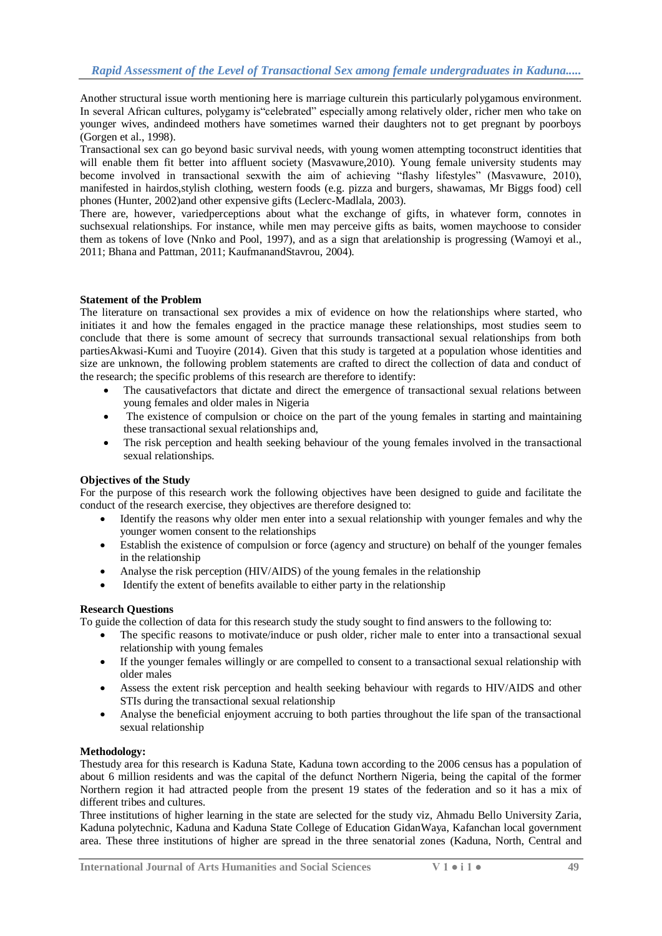Another structural issue worth mentioning here is marriage culturein this particularly polygamous environment. In several African cultures, polygamy is"celebrated" especially among relatively older, richer men who take on younger wives, andindeed mothers have sometimes warned their daughters not to get pregnant by poorboys (Gorgen et al., 1998).

Transactional sex can go beyond basic survival needs, with young women attempting toconstruct identities that will enable them fit better into affluent society (Masvawure, 2010). Young female university students may become involved in transactional sexwith the aim of achieving "flashy lifestyles" (Masvawure, 2010), manifested in hairdos,stylish clothing, western foods (e.g. pizza and burgers, shawamas, Mr Biggs food) cell phones (Hunter, 2002)and other expensive gifts (Leclerc-Madlala, 2003).

There are, however, variedperceptions about what the exchange of gifts, in whatever form, connotes in suchsexual relationships. For instance, while men may perceive gifts as baits, women maychoose to consider them as tokens of love (Nnko and Pool, 1997), and as a sign that arelationship is progressing (Wamoyi et al., 2011; Bhana and Pattman, 2011; KaufmanandStavrou, 2004).

#### **Statement of the Problem**

The literature on transactional sex provides a mix of evidence on how the relationships where started, who initiates it and how the females engaged in the practice manage these relationships, most studies seem to conclude that there is some amount of secrecy that surrounds transactional sexual relationships from both partiesAkwasi-Kumi and Tuoyire (2014). Given that this study is targeted at a population whose identities and size are unknown, the following problem statements are crafted to direct the collection of data and conduct of the research; the specific problems of this research are therefore to identify:

- The causativefactors that dictate and direct the emergence of transactional sexual relations between young females and older males in Nigeria
- The existence of compulsion or choice on the part of the young females in starting and maintaining these transactional sexual relationships and,
- The risk perception and health seeking behaviour of the young females involved in the transactional sexual relationships.

#### **Objectives of the Study**

For the purpose of this research work the following objectives have been designed to guide and facilitate the conduct of the research exercise, they objectives are therefore designed to:

- Identify the reasons why older men enter into a sexual relationship with younger females and why the younger women consent to the relationships
- Establish the existence of compulsion or force (agency and structure) on behalf of the younger females in the relationship
- Analyse the risk perception (HIV/AIDS) of the young females in the relationship
- Identify the extent of benefits available to either party in the relationship

#### **Research Questions**

To guide the collection of data for this research study the study sought to find answers to the following to:

- The specific reasons to motivate/induce or push older, richer male to enter into a transactional sexual relationship with young females
- If the younger females willingly or are compelled to consent to a transactional sexual relationship with older males
- Assess the extent risk perception and health seeking behaviour with regards to HIV/AIDS and other STIs during the transactional sexual relationship
- Analyse the beneficial enjoyment accruing to both parties throughout the life span of the transactional sexual relationship

#### **Methodology:**

Thestudy area for this research is Kaduna State, Kaduna town according to the 2006 census has a population of about 6 million residents and was the capital of the defunct Northern Nigeria, being the capital of the former Northern region it had attracted people from the present 19 states of the federation and so it has a mix of different tribes and cultures.

Three institutions of higher learning in the state are selected for the study viz, Ahmadu Bello University Zaria, Kaduna polytechnic, Kaduna and Kaduna State College of Education GidanWaya, Kafanchan local government area. These three institutions of higher are spread in the three senatorial zones (Kaduna, North, Central and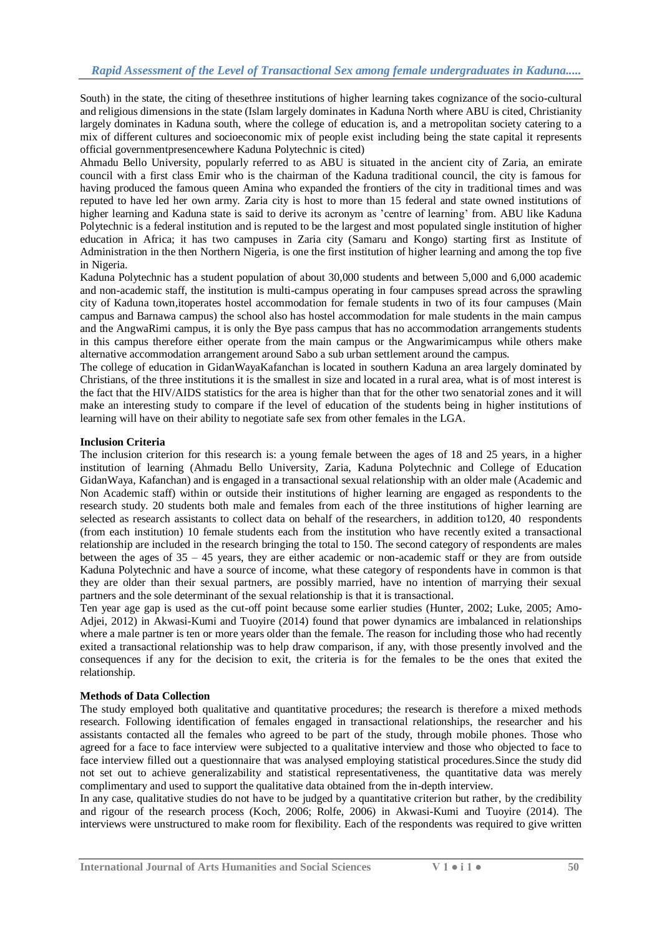South) in the state, the citing of thesethree institutions of higher learning takes cognizance of the socio-cultural and religious dimensions in the state (Islam largely dominates in Kaduna North where ABU is cited, Christianity largely dominates in Kaduna south, where the college of education is, and a metropolitan society catering to a mix of different cultures and socioeconomic mix of people exist including being the state capital it represents official governmentpresencewhere Kaduna Polytechnic is cited)

Ahmadu Bello University, popularly referred to as ABU is situated in the ancient city of Zaria, an emirate council with a first class Emir who is the chairman of the Kaduna traditional council, the city is famous for having produced the famous queen Amina who expanded the frontiers of the city in traditional times and was reputed to have led her own army. Zaria city is host to more than 15 federal and state owned institutions of higher learning and Kaduna state is said to derive its acronym as 'centre of learning' from. ABU like Kaduna Polytechnic is a federal institution and is reputed to be the largest and most populated single institution of higher education in Africa; it has two campuses in Zaria city (Samaru and Kongo) starting first as Institute of Administration in the then Northern Nigeria, is one the first institution of higher learning and among the top five in Nigeria.

Kaduna Polytechnic has a student population of about 30,000 students and between 5,000 and 6,000 academic and non-academic staff, the institution is multi-campus operating in four campuses spread across the sprawling city of Kaduna town,itoperates hostel accommodation for female students in two of its four campuses (Main campus and Barnawa campus) the school also has hostel accommodation for male students in the main campus and the AngwaRimi campus, it is only the Bye pass campus that has no accommodation arrangements students in this campus therefore either operate from the main campus or the Angwarimicampus while others make alternative accommodation arrangement around Sabo a sub urban settlement around the campus.

The college of education in GidanWayaKafanchan is located in southern Kaduna an area largely dominated by Christians, of the three institutions it is the smallest in size and located in a rural area, what is of most interest is the fact that the HIV/AIDS statistics for the area is higher than that for the other two senatorial zones and it will make an interesting study to compare if the level of education of the students being in higher institutions of learning will have on their ability to negotiate safe sex from other females in the LGA.

#### **Inclusion Criteria**

The inclusion criterion for this research is: a young female between the ages of 18 and 25 years, in a higher institution of learning (Ahmadu Bello University, Zaria, Kaduna Polytechnic and College of Education GidanWaya, Kafanchan) and is engaged in a transactional sexual relationship with an older male (Academic and Non Academic staff) within or outside their institutions of higher learning are engaged as respondents to the research study. 20 students both male and females from each of the three institutions of higher learning are selected as research assistants to collect data on behalf of the researchers, in addition to120, 40 respondents (from each institution) 10 female students each from the institution who have recently exited a transactional relationship are included in the research bringing the total to 150. The second category of respondents are males between the ages of  $35 - 45$  years, they are either academic or non-academic staff or they are from outside Kaduna Polytechnic and have a source of income, what these category of respondents have in common is that they are older than their sexual partners, are possibly married, have no intention of marrying their sexual partners and the sole determinant of the sexual relationship is that it is transactional.

Ten year age gap is used as the cut-off point because some earlier studies (Hunter, 2002; Luke, 2005; Amo-Adjei, 2012) in Akwasi-Kumi and Tuoyire (2014) found that power dynamics are imbalanced in relationships where a male partner is ten or more years older than the female. The reason for including those who had recently exited a transactional relationship was to help draw comparison, if any, with those presently involved and the consequences if any for the decision to exit, the criteria is for the females to be the ones that exited the relationship.

#### **Methods of Data Collection**

The study employed both qualitative and quantitative procedures; the research is therefore a mixed methods research. Following identification of females engaged in transactional relationships, the researcher and his assistants contacted all the females who agreed to be part of the study, through mobile phones. Those who agreed for a face to face interview were subjected to a qualitative interview and those who objected to face to face interview filled out a questionnaire that was analysed employing statistical procedures.Since the study did not set out to achieve generalizability and statistical representativeness, the quantitative data was merely complimentary and used to support the qualitative data obtained from the in-depth interview.

In any case, qualitative studies do not have to be judged by a quantitative criterion but rather, by the credibility and rigour of the research process (Koch, 2006; Rolfe, 2006) in Akwasi-Kumi and Tuoyire (2014). The interviews were unstructured to make room for flexibility. Each of the respondents was required to give written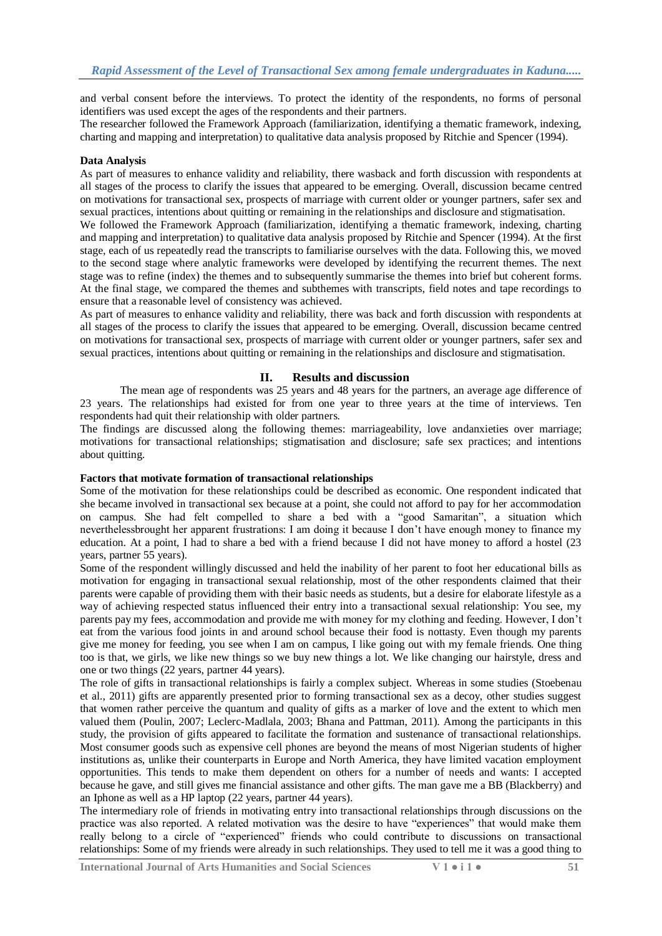and verbal consent before the interviews. To protect the identity of the respondents, no forms of personal identifiers was used except the ages of the respondents and their partners.

The researcher followed the Framework Approach (familiarization, identifying a thematic framework, indexing, charting and mapping and interpretation) to qualitative data analysis proposed by Ritchie and Spencer (1994).

#### **Data Analysis**

As part of measures to enhance validity and reliability, there wasback and forth discussion with respondents at all stages of the process to clarify the issues that appeared to be emerging. Overall, discussion became centred on motivations for transactional sex, prospects of marriage with current older or younger partners, safer sex and sexual practices, intentions about quitting or remaining in the relationships and disclosure and stigmatisation.

We followed the Framework Approach (familiarization, identifying a thematic framework, indexing, charting and mapping and interpretation) to qualitative data analysis proposed by Ritchie and Spencer (1994). At the first stage, each of us repeatedly read the transcripts to familiarise ourselves with the data. Following this, we moved to the second stage where analytic frameworks were developed by identifying the recurrent themes. The next stage was to refine (index) the themes and to subsequently summarise the themes into brief but coherent forms. At the final stage, we compared the themes and subthemes with transcripts, field notes and tape recordings to ensure that a reasonable level of consistency was achieved.

As part of measures to enhance validity and reliability, there was back and forth discussion with respondents at all stages of the process to clarify the issues that appeared to be emerging. Overall, discussion became centred on motivations for transactional sex, prospects of marriage with current older or younger partners, safer sex and sexual practices, intentions about quitting or remaining in the relationships and disclosure and stigmatisation.

#### **II. Results and discussion**

The mean age of respondents was 25 years and 48 years for the partners, an average age difference of 23 years. The relationships had existed for from one year to three years at the time of interviews. Ten respondents had quit their relationship with older partners.

The findings are discussed along the following themes: marriageability, love andanxieties over marriage; motivations for transactional relationships; stigmatisation and disclosure; safe sex practices; and intentions about quitting.

#### **Factors that motivate formation of transactional relationships**

Some of the motivation for these relationships could be described as economic. One respondent indicated that she became involved in transactional sex because at a point, she could not afford to pay for her accommodation on campus. She had felt compelled to share a bed with a "good Samaritan", a situation which neverthelessbrought her apparent frustrations: I am doing it because I don"t have enough money to finance my education. At a point, I had to share a bed with a friend because I did not have money to afford a hostel (23 years, partner 55 years).

Some of the respondent willingly discussed and held the inability of her parent to foot her educational bills as motivation for engaging in transactional sexual relationship, most of the other respondents claimed that their parents were capable of providing them with their basic needs as students, but a desire for elaborate lifestyle as a way of achieving respected status influenced their entry into a transactional sexual relationship: You see, my parents pay my fees, accommodation and provide me with money for my clothing and feeding. However, I don"t eat from the various food joints in and around school because their food is nottasty. Even though my parents give me money for feeding, you see when I am on campus, I like going out with my female friends. One thing too is that, we girls, we like new things so we buy new things a lot. We like changing our hairstyle, dress and one or two things (22 years, partner 44 years).

The role of gifts in transactional relationships is fairly a complex subject. Whereas in some studies (Stoebenau et al., 2011) gifts are apparently presented prior to forming transactional sex as a decoy, other studies suggest that women rather perceive the quantum and quality of gifts as a marker of love and the extent to which men valued them (Poulin, 2007; Leclerc-Madlala, 2003; Bhana and Pattman, 2011). Among the participants in this study, the provision of gifts appeared to facilitate the formation and sustenance of transactional relationships. Most consumer goods such as expensive cell phones are beyond the means of most Nigerian students of higher institutions as, unlike their counterparts in Europe and North America, they have limited vacation employment opportunities. This tends to make them dependent on others for a number of needs and wants: I accepted because he gave, and still gives me financial assistance and other gifts. The man gave me a BB (Blackberry) and an Iphone as well as a HP laptop (22 years, partner 44 years).

The intermediary role of friends in motivating entry into transactional relationships through discussions on the practice was also reported. A related motivation was the desire to have "experiences" that would make them really belong to a circle of "experienced" friends who could contribute to discussions on transactional relationships: Some of my friends were already in such relationships. They used to tell me it was a good thing to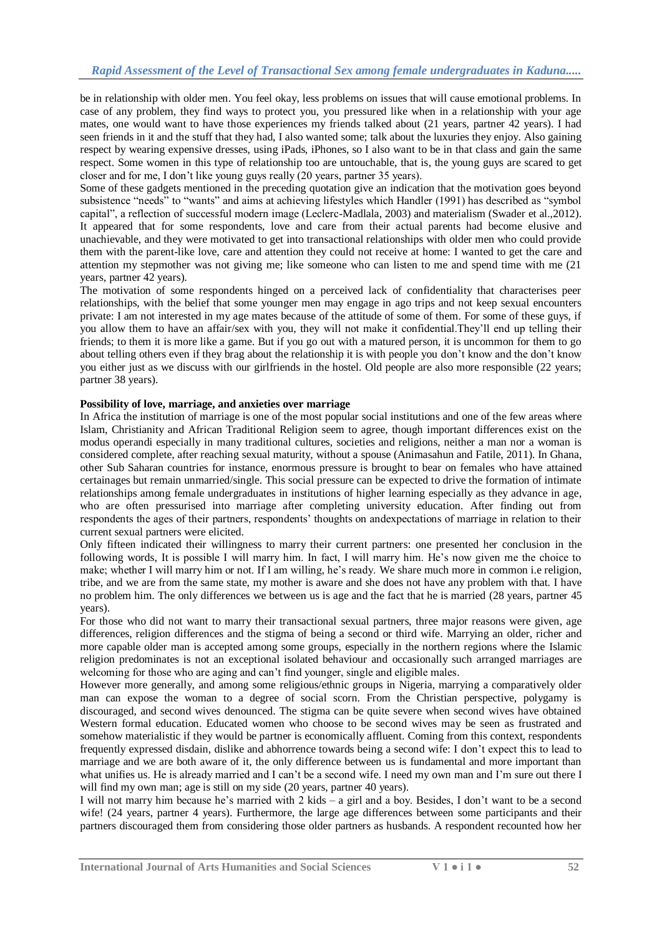be in relationship with older men. You feel okay, less problems on issues that will cause emotional problems. In case of any problem, they find ways to protect you, you pressured like when in a relationship with your age mates, one would want to have those experiences my friends talked about (21 years, partner 42 years). I had seen friends in it and the stuff that they had, I also wanted some; talk about the luxuries they enjoy. Also gaining respect by wearing expensive dresses, using iPads, iPhones, so I also want to be in that class and gain the same respect. Some women in this type of relationship too are untouchable, that is, the young guys are scared to get closer and for me, I don"t like young guys really (20 years, partner 35 years).

Some of these gadgets mentioned in the preceding quotation give an indication that the motivation goes beyond subsistence "needs" to "wants" and aims at achieving lifestyles which Handler (1991) has described as "symbol capital", a reflection of successful modern image (Leclerc-Madlala, 2003) and materialism (Swader et al.,2012). It appeared that for some respondents, love and care from their actual parents had become elusive and unachievable, and they were motivated to get into transactional relationships with older men who could provide them with the parent-like love, care and attention they could not receive at home: I wanted to get the care and attention my stepmother was not giving me; like someone who can listen to me and spend time with me (21 years, partner 42 years).

The motivation of some respondents hinged on a perceived lack of confidentiality that characterises peer relationships, with the belief that some younger men may engage in ago trips and not keep sexual encounters private: I am not interested in my age mates because of the attitude of some of them. For some of these guys, if you allow them to have an affair/sex with you, they will not make it confidential.They"ll end up telling their friends; to them it is more like a game. But if you go out with a matured person, it is uncommon for them to go about telling others even if they brag about the relationship it is with people you don"t know and the don"t know you either just as we discuss with our girlfriends in the hostel. Old people are also more responsible (22 years; partner 38 years).

#### **Possibility of love, marriage, and anxieties over marriage**

In Africa the institution of marriage is one of the most popular social institutions and one of the few areas where Islam, Christianity and African Traditional Religion seem to agree, though important differences exist on the modus operandi especially in many traditional cultures, societies and religions, neither a man nor a woman is considered complete, after reaching sexual maturity, without a spouse (Animasahun and Fatile, 2011). In Ghana, other Sub Saharan countries for instance, enormous pressure is brought to bear on females who have attained certainages but remain unmarried/single. This social pressure can be expected to drive the formation of intimate relationships among female undergraduates in institutions of higher learning especially as they advance in age, who are often pressurised into marriage after completing university education. After finding out from respondents the ages of their partners, respondents" thoughts on andexpectations of marriage in relation to their current sexual partners were elicited.

Only fifteen indicated their willingness to marry their current partners: one presented her conclusion in the following words, It is possible I will marry him. In fact, I will marry him. He's now given me the choice to make; whether I will marry him or not. If I am willing, he's ready. We share much more in common i.e religion, tribe, and we are from the same state, my mother is aware and she does not have any problem with that. I have no problem him. The only differences we between us is age and the fact that he is married (28 years, partner 45 years).

For those who did not want to marry their transactional sexual partners, three major reasons were given, age differences, religion differences and the stigma of being a second or third wife. Marrying an older, richer and more capable older man is accepted among some groups, especially in the northern regions where the Islamic religion predominates is not an exceptional isolated behaviour and occasionally such arranged marriages are welcoming for those who are aging and can't find younger, single and eligible males.

However more generally, and among some religious/ethnic groups in Nigeria, marrying a comparatively older man can expose the woman to a degree of social scorn. From the Christian perspective, polygamy is discouraged, and second wives denounced. The stigma can be quite severe when second wives have obtained Western formal education. Educated women who choose to be second wives may be seen as frustrated and somehow materialistic if they would be partner is economically affluent. Coming from this context, respondents frequently expressed disdain, dislike and abhorrence towards being a second wife: I don"t expect this to lead to marriage and we are both aware of it, the only difference between us is fundamental and more important than what unifies us. He is already married and I can't be a second wife. I need my own man and I'm sure out there I will find my own man; age is still on my side (20 years, partner 40 years).

I will not marry him because he"s married with 2 kids – a girl and a boy. Besides, I don"t want to be a second wife! (24 years, partner 4 years). Furthermore, the large age differences between some participants and their partners discouraged them from considering those older partners as husbands. A respondent recounted how her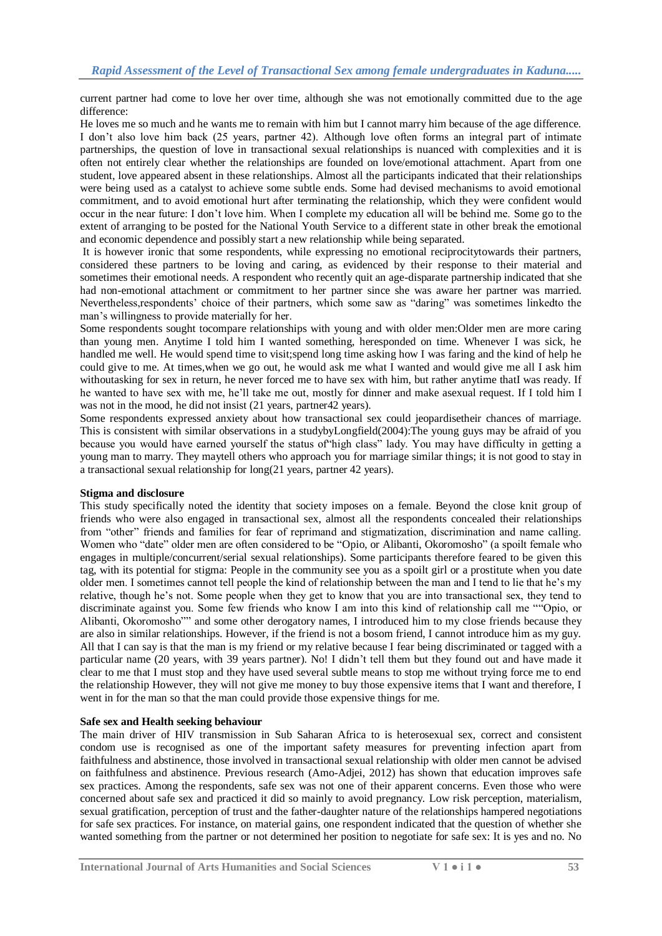current partner had come to love her over time, although she was not emotionally committed due to the age difference:

He loves me so much and he wants me to remain with him but I cannot marry him because of the age difference. I don"t also love him back (25 years, partner 42). Although love often forms an integral part of intimate partnerships, the question of love in transactional sexual relationships is nuanced with complexities and it is often not entirely clear whether the relationships are founded on love/emotional attachment. Apart from one student, love appeared absent in these relationships. Almost all the participants indicated that their relationships were being used as a catalyst to achieve some subtle ends. Some had devised mechanisms to avoid emotional commitment, and to avoid emotional hurt after terminating the relationship, which they were confident would occur in the near future: I don"t love him. When I complete my education all will be behind me. Some go to the extent of arranging to be posted for the National Youth Service to a different state in other break the emotional and economic dependence and possibly start a new relationship while being separated.

It is however ironic that some respondents, while expressing no emotional reciprocitytowards their partners, considered these partners to be loving and caring, as evidenced by their response to their material and sometimes their emotional needs. A respondent who recently quit an age-disparate partnership indicated that she had non-emotional attachment or commitment to her partner since she was aware her partner was married. Nevertheless,respondents" choice of their partners, which some saw as "daring" was sometimes linkedto the man"s willingness to provide materially for her.

Some respondents sought tocompare relationships with young and with older men:Older men are more caring than young men. Anytime I told him I wanted something, heresponded on time. Whenever I was sick, he handled me well. He would spend time to visit;spend long time asking how I was faring and the kind of help he could give to me. At times,when we go out, he would ask me what I wanted and would give me all I ask him withoutasking for sex in return, he never forced me to have sex with him, but rather anytime thatI was ready. If he wanted to have sex with me, he"ll take me out, mostly for dinner and make asexual request. If I told him I was not in the mood, he did not insist (21 years, partner 42 years).

Some respondents expressed anxiety about how transactional sex could jeopardisetheir chances of marriage. This is consistent with similar observations in a studybyLongfield(2004):The young guys may be afraid of you because you would have earned yourself the status of"high class" lady. You may have difficulty in getting a young man to marry. They maytell others who approach you for marriage similar things; it is not good to stay in a transactional sexual relationship for long(21 years, partner 42 years).

#### **Stigma and disclosure**

This study specifically noted the identity that society imposes on a female. Beyond the close knit group of friends who were also engaged in transactional sex, almost all the respondents concealed their relationships from "other" friends and families for fear of reprimand and stigmatization, discrimination and name calling. Women who "date" older men are often considered to be "Opio, or Alibanti, Okoromosho" (a spoilt female who engages in multiple/concurrent/serial sexual relationships). Some participants therefore feared to be given this tag, with its potential for stigma: People in the community see you as a spoilt girl or a prostitute when you date older men. I sometimes cannot tell people the kind of relationship between the man and I tend to lie that he"s my relative, though he"s not. Some people when they get to know that you are into transactional sex, they tend to discriminate against you. Some few friends who know I am into this kind of relationship call me ""Opio, or Alibanti, Okoromosho"" and some other derogatory names, I introduced him to my close friends because they are also in similar relationships. However, if the friend is not a bosom friend, I cannot introduce him as my guy. All that I can say is that the man is my friend or my relative because I fear being discriminated or tagged with a particular name (20 years, with 39 years partner). No! I didn"t tell them but they found out and have made it clear to me that I must stop and they have used several subtle means to stop me without trying force me to end the relationship However, they will not give me money to buy those expensive items that I want and therefore, I went in for the man so that the man could provide those expensive things for me.

#### **Safe sex and Health seeking behaviour**

The main driver of HIV transmission in Sub Saharan Africa to is heterosexual sex, correct and consistent condom use is recognised as one of the important safety measures for preventing infection apart from faithfulness and abstinence, those involved in transactional sexual relationship with older men cannot be advised on faithfulness and abstinence. Previous research (Amo-Adjei, 2012) has shown that education improves safe sex practices. Among the respondents, safe sex was not one of their apparent concerns. Even those who were concerned about safe sex and practiced it did so mainly to avoid pregnancy. Low risk perception, materialism, sexual gratification, perception of trust and the father-daughter nature of the relationships hampered negotiations for safe sex practices. For instance, on material gains, one respondent indicated that the question of whether she wanted something from the partner or not determined her position to negotiate for safe sex: It is yes and no. No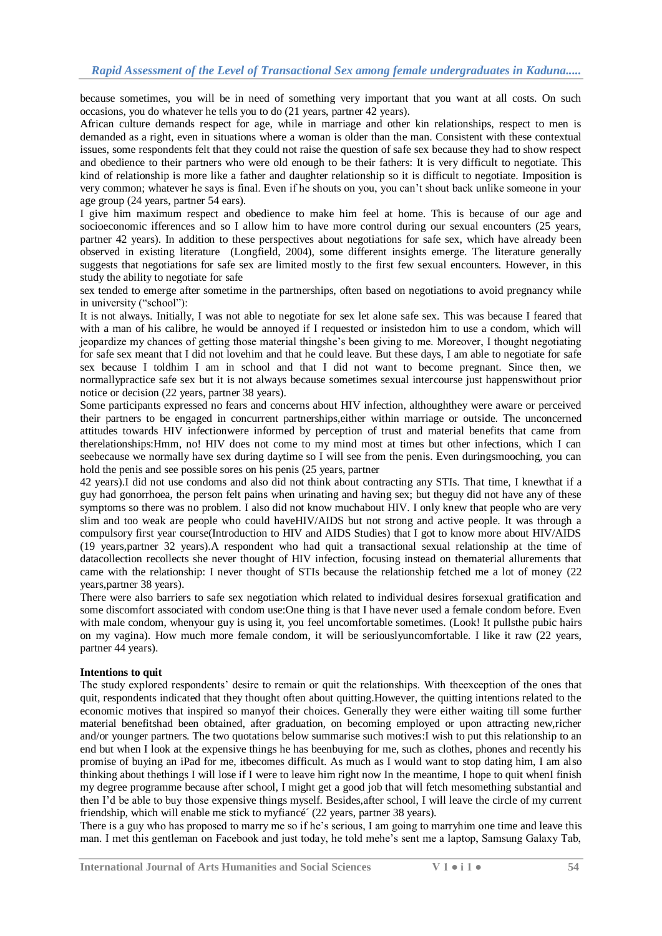because sometimes, you will be in need of something very important that you want at all costs. On such occasions, you do whatever he tells you to do (21 years, partner 42 years).

African culture demands respect for age, while in marriage and other kin relationships, respect to men is demanded as a right, even in situations where a woman is older than the man. Consistent with these contextual issues, some respondents felt that they could not raise the question of safe sex because they had to show respect and obedience to their partners who were old enough to be their fathers: It is very difficult to negotiate. This kind of relationship is more like a father and daughter relationship so it is difficult to negotiate. Imposition is very common; whatever he says is final. Even if he shouts on you, you can"t shout back unlike someone in your age group (24 years, partner 54 ears).

I give him maximum respect and obedience to make him feel at home. This is because of our age and socioeconomic ifferences and so I allow him to have more control during our sexual encounters (25 years, partner 42 years). In addition to these perspectives about negotiations for safe sex, which have already been observed in existing literature (Longfield, 2004), some different insights emerge. The literature generally suggests that negotiations for safe sex are limited mostly to the first few sexual encounters. However, in this study the ability to negotiate for safe

sex tended to emerge after sometime in the partnerships, often based on negotiations to avoid pregnancy while in university ("school"):

It is not always. Initially, I was not able to negotiate for sex let alone safe sex. This was because I feared that with a man of his calibre, he would be annoyed if I requested or insistedon him to use a condom, which will jeopardize my chances of getting those material thingshe"s been giving to me. Moreover, I thought negotiating for safe sex meant that I did not lovehim and that he could leave. But these days, I am able to negotiate for safe sex because I toldhim I am in school and that I did not want to become pregnant. Since then, we normallypractice safe sex but it is not always because sometimes sexual intercourse just happenswithout prior notice or decision (22 years, partner 38 years).

Some participants expressed no fears and concerns about HIV infection, althoughthey were aware or perceived their partners to be engaged in concurrent partnerships,either within marriage or outside. The unconcerned attitudes towards HIV infectionwere informed by perception of trust and material benefits that came from therelationships:Hmm, no! HIV does not come to my mind most at times but other infections, which I can seebecause we normally have sex during daytime so I will see from the penis. Even duringsmooching, you can hold the penis and see possible sores on his penis (25 years, partner

42 years).I did not use condoms and also did not think about contracting any STIs. That time, I knewthat if a guy had gonorrhoea, the person felt pains when urinating and having sex; but theguy did not have any of these symptoms so there was no problem. I also did not know muchabout HIV. I only knew that people who are very slim and too weak are people who could haveHIV/AIDS but not strong and active people. It was through a compulsory first year course(Introduction to HIV and AIDS Studies) that I got to know more about HIV/AIDS (19 years,partner 32 years).A respondent who had quit a transactional sexual relationship at the time of datacollection recollects she never thought of HIV infection, focusing instead on thematerial allurements that came with the relationship: I never thought of STIs because the relationship fetched me a lot of money (22 years,partner 38 years).

There were also barriers to safe sex negotiation which related to individual desires forsexual gratification and some discomfort associated with condom use:One thing is that I have never used a female condom before. Even with male condom, whenyour guy is using it, you feel uncomfortable sometimes. (Look! It pullsthe pubic hairs on my vagina). How much more female condom, it will be seriouslyuncomfortable. I like it raw (22 years, partner 44 years).

#### **Intentions to quit**

The study explored respondents" desire to remain or quit the relationships. With theexception of the ones that quit, respondents indicated that they thought often about quitting.However, the quitting intentions related to the economic motives that inspired so manyof their choices. Generally they were either waiting till some further material benefitshad been obtained, after graduation, on becoming employed or upon attracting new,richer and/or younger partners. The two quotations below summarise such motives:I wish to put this relationship to an end but when I look at the expensive things he has beenbuying for me, such as clothes, phones and recently his promise of buying an iPad for me, itbecomes difficult. As much as I would want to stop dating him, I am also thinking about thethings I will lose if I were to leave him right now In the meantime, I hope to quit whenI finish my degree programme because after school, I might get a good job that will fetch mesomething substantial and then I"d be able to buy those expensive things myself. Besides,after school, I will leave the circle of my current friendship, which will enable me stick to myfiancé´ (22 years, partner 38 years).

There is a guy who has proposed to marry me so if he"s serious, I am going to marryhim one time and leave this man. I met this gentleman on Facebook and just today, he told mehe"s sent me a laptop, Samsung Galaxy Tab,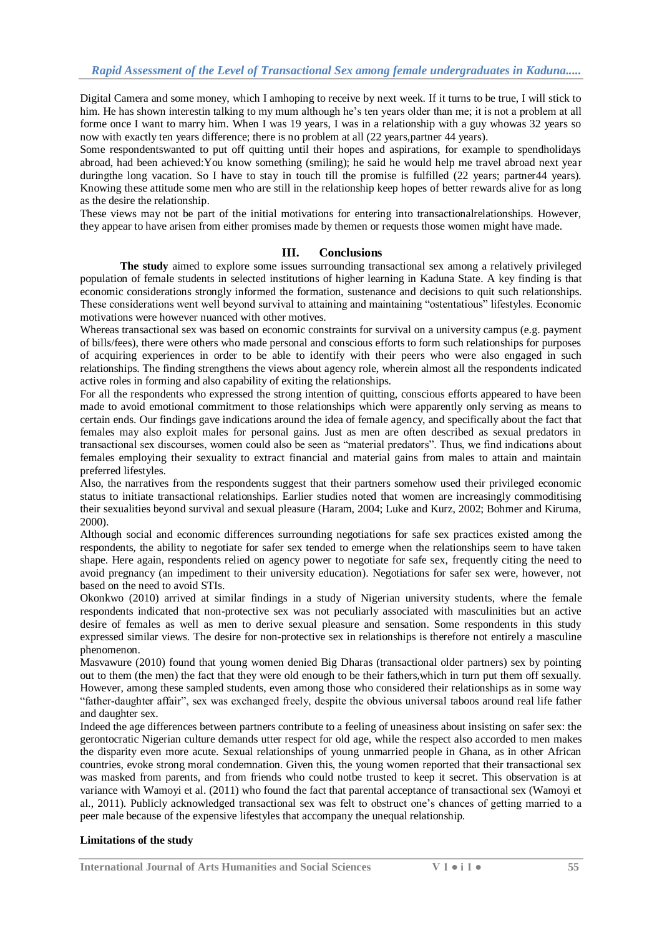Digital Camera and some money, which I amhoping to receive by next week. If it turns to be true, I will stick to him. He has shown interestin talking to my mum although he's ten years older than me; it is not a problem at all forme once I want to marry him. When I was 19 years, I was in a relationship with a guy whowas 32 years so now with exactly ten years difference; there is no problem at all  $(22 \text{ years}, \text{partner } 44 \text{ years}).$ 

Some respondentswanted to put off quitting until their hopes and aspirations, for example to spendholidays abroad, had been achieved:You know something (smiling); he said he would help me travel abroad next year duringthe long vacation. So I have to stay in touch till the promise is fulfilled (22 years; partner44 years). Knowing these attitude some men who are still in the relationship keep hopes of better rewards alive for as long as the desire the relationship.

These views may not be part of the initial motivations for entering into transactionalrelationships. However, they appear to have arisen from either promises made by themen or requests those women might have made.

#### **III. Conclusions**

**The study** aimed to explore some issues surrounding transactional sex among a relatively privileged population of female students in selected institutions of higher learning in Kaduna State. A key finding is that economic considerations strongly informed the formation, sustenance and decisions to quit such relationships. These considerations went well beyond survival to attaining and maintaining "ostentatious" lifestyles. Economic motivations were however nuanced with other motives.

Whereas transactional sex was based on economic constraints for survival on a university campus (e.g. payment of bills/fees), there were others who made personal and conscious efforts to form such relationships for purposes of acquiring experiences in order to be able to identify with their peers who were also engaged in such relationships. The finding strengthens the views about agency role, wherein almost all the respondents indicated active roles in forming and also capability of exiting the relationships.

For all the respondents who expressed the strong intention of quitting, conscious efforts appeared to have been made to avoid emotional commitment to those relationships which were apparently only serving as means to certain ends. Our findings gave indications around the idea of female agency, and specifically about the fact that females may also exploit males for personal gains. Just as men are often described as sexual predators in transactional sex discourses, women could also be seen as "material predators". Thus, we find indications about females employing their sexuality to extract financial and material gains from males to attain and maintain preferred lifestyles.

Also, the narratives from the respondents suggest that their partners somehow used their privileged economic status to initiate transactional relationships. Earlier studies noted that women are increasingly commoditising their sexualities beyond survival and sexual pleasure (Haram, 2004; Luke and Kurz, 2002; Bohmer and Kiruma, 2000).

Although social and economic differences surrounding negotiations for safe sex practices existed among the respondents, the ability to negotiate for safer sex tended to emerge when the relationships seem to have taken shape. Here again, respondents relied on agency power to negotiate for safe sex, frequently citing the need to avoid pregnancy (an impediment to their university education). Negotiations for safer sex were, however, not based on the need to avoid STIs.

Okonkwo (2010) arrived at similar findings in a study of Nigerian university students, where the female respondents indicated that non-protective sex was not peculiarly associated with masculinities but an active desire of females as well as men to derive sexual pleasure and sensation. Some respondents in this study expressed similar views. The desire for non-protective sex in relationships is therefore not entirely a masculine phenomenon.

Masvawure (2010) found that young women denied Big Dharas (transactional older partners) sex by pointing out to them (the men) the fact that they were old enough to be their fathers,which in turn put them off sexually. However, among these sampled students, even among those who considered their relationships as in some way "father-daughter affair", sex was exchanged freely, despite the obvious universal taboos around real life father and daughter sex.

Indeed the age differences between partners contribute to a feeling of uneasiness about insisting on safer sex: the gerontocratic Nigerian culture demands utter respect for old age, while the respect also accorded to men makes the disparity even more acute. Sexual relationships of young unmarried people in Ghana, as in other African countries, evoke strong moral condemnation. Given this, the young women reported that their transactional sex was masked from parents, and from friends who could notbe trusted to keep it secret. This observation is at variance with Wamoyi et al. (2011) who found the fact that parental acceptance of transactional sex (Wamoyi et al., 2011). Publicly acknowledged transactional sex was felt to obstruct one"s chances of getting married to a peer male because of the expensive lifestyles that accompany the unequal relationship.

#### **Limitations of the study**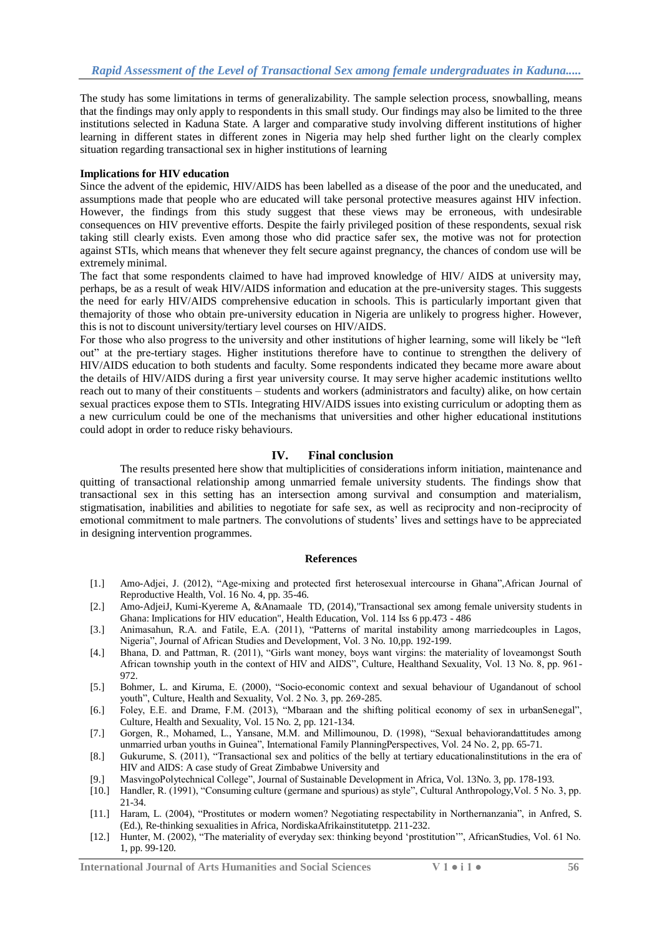The study has some limitations in terms of generalizability. The sample selection process, snowballing, means that the findings may only apply to respondents in this small study. Our findings may also be limited to the three institutions selected in Kaduna State. A larger and comparative study involving different institutions of higher learning in different states in different zones in Nigeria may help shed further light on the clearly complex situation regarding transactional sex in higher institutions of learning

#### **Implications for HIV education**

Since the advent of the epidemic, HIV/AIDS has been labelled as a disease of the poor and the uneducated, and assumptions made that people who are educated will take personal protective measures against HIV infection. However, the findings from this study suggest that these views may be erroneous, with undesirable consequences on HIV preventive efforts. Despite the fairly privileged position of these respondents, sexual risk taking still clearly exists. Even among those who did practice safer sex, the motive was not for protection against STIs, which means that whenever they felt secure against pregnancy, the chances of condom use will be extremely minimal.

The fact that some respondents claimed to have had improved knowledge of HIV/ AIDS at university may, perhaps, be as a result of weak HIV/AIDS information and education at the pre-university stages. This suggests the need for early HIV/AIDS comprehensive education in schools. This is particularly important given that themajority of those who obtain pre-university education in Nigeria are unlikely to progress higher. However, this is not to discount university/tertiary level courses on HIV/AIDS.

For those who also progress to the university and other institutions of higher learning, some will likely be "left out" at the pre-tertiary stages. Higher institutions therefore have to continue to strengthen the delivery of HIV/AIDS education to both students and faculty. Some respondents indicated they became more aware about the details of HIV/AIDS during a first year university course. It may serve higher academic institutions wellto reach out to many of their constituents – students and workers (administrators and faculty) alike, on how certain sexual practices expose them to STIs. Integrating HIV/AIDS issues into existing curriculum or adopting them as a new curriculum could be one of the mechanisms that universities and other higher educational institutions could adopt in order to reduce risky behaviours.

#### **IV. Final conclusion**

The results presented here show that multiplicities of considerations inform initiation, maintenance and quitting of transactional relationship among unmarried female university students. The findings show that transactional sex in this setting has an intersection among survival and consumption and materialism, stigmatisation, inabilities and abilities to negotiate for safe sex, as well as reciprocity and non-reciprocity of emotional commitment to male partners. The convolutions of students" lives and settings have to be appreciated in designing intervention programmes.

#### **References**

- [1.] Amo-Adjei, J. (2012), "Age-mixing and protected first heterosexual intercourse in Ghana",African Journal of Reproductive Health, Vol. 16 No. 4, pp. 35-46.
- [2.] Amo-AdjeiJ, Kumi-Kyereme A, &Anamaale TD, (2014),"Transactional sex among female university students in Ghana: Implications for HIV education", Health Education, Vol. 114 Iss 6 pp.473 - 486
- [3.] Animasahun, R.A. and Fatile, E.A. (2011), "Patterns of marital instability among marriedcouples in Lagos, Nigeria", Journal of African Studies and Development, Vol. 3 No. 10,pp. 192-199.
- [4.] Bhana, D. and Pattman, R. (2011), "Girls want money, boys want virgins: the materiality of loveamongst South African township youth in the context of HIV and AIDS", Culture, Healthand Sexuality, Vol. 13 No. 8, pp. 961- 972.
- [5.] Bohmer, L. and Kiruma, E. (2000), "Socio-economic context and sexual behaviour of Ugandanout of school youth", Culture, Health and Sexuality, Vol. 2 No. 3, pp. 269-285.
- [6.] Foley, E.E. and Drame, F.M. (2013), "Mbaraan and the shifting political economy of sex in urbanSenegal", Culture, Health and Sexuality, Vol. 15 No. 2, pp. 121-134.
- [7.] Gorgen, R., Mohamed, L., Yansane, M.M. and Millimounou, D. (1998), "Sexual behaviorandattitudes among unmarried urban youths in Guinea", International Family PlanningPerspectives, Vol. 24 No. 2, pp. 65-71.
- [8.] Gukurume, S. (2011), "Transactional sex and politics of the belly at tertiary educationalinstitutions in the era of HIV and AIDS: A case study of Great Zimbabwe University and
- [9.] MasvingoPolytechnical College", Journal of Sustainable Development in Africa, Vol. 13No. 3, pp. 178-193.
- [10.] Handler, R. (1991), "Consuming culture (germane and spurious) as style", Cultural Anthropology,Vol. 5 No. 3, pp. 21-34.
- [11.] Haram, L. (2004), "Prostitutes or modern women? Negotiating respectability in Northernanzania", in Anfred, S. (Ed.), Re-thinking sexualities in Africa, NordiskaAfrikainstitutetpp. 211-232.
- [12.] Hunter, M. (2002), "The materiality of everyday sex: thinking beyond "prostitution"", AfricanStudies, Vol. 61 No. 1, pp. 99-120.